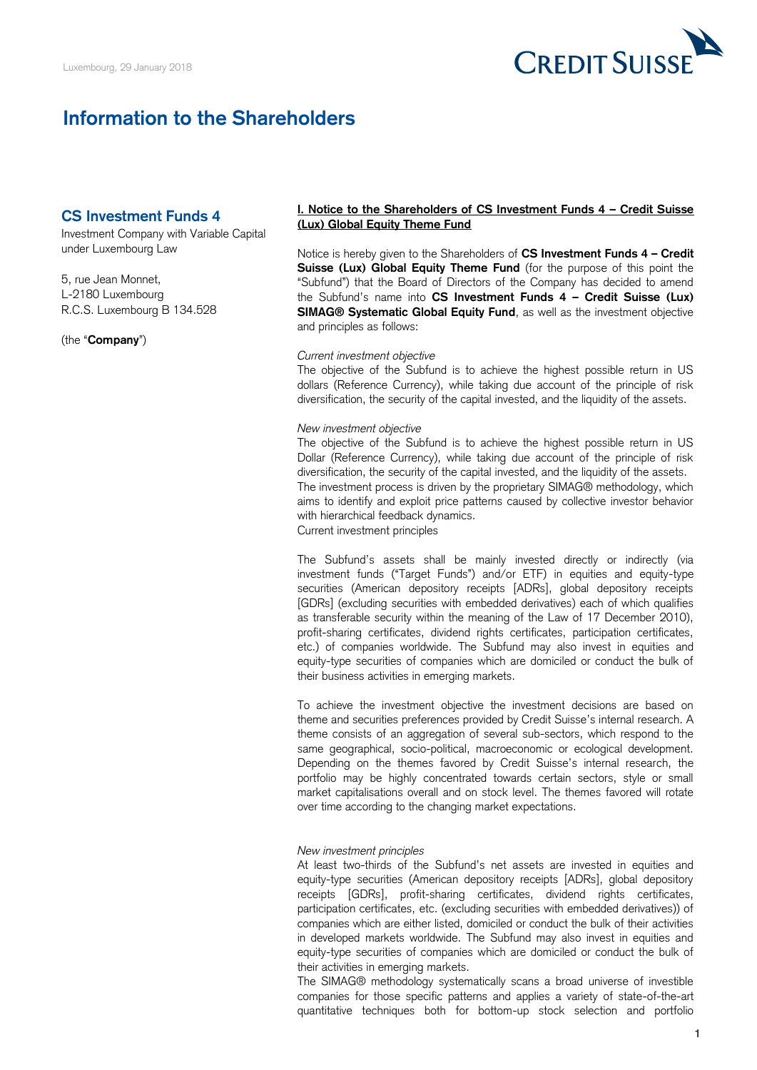

# **Information to the Shareholders**

# **CS Investment Funds 4**

Investment Company with Variable Capital under Luxembourg Law

5, rue Jean Monnet, L-2180 Luxembourg R.C.S. Luxembourg B 134.528

(the "**Company**")

## **I. Notice to the Shareholders of CS Investment Funds 4 – Credit Suisse (Lux) Global Equity Theme Fund**

 Notice is hereby given to the Shareholders of **CS Investment Funds 4 – Credit Suisse (Lux) Global Equity Theme Fund** (for the purpose of this point the "Subfund") that the Board of Directors of the Company has decided to amend the Subfund's name into **CS Investment Funds 4 – Credit Suisse (Lux) SIMAG® Systematic Global Equity Fund**, as well as the investment objective and principles as follows:

#### *Current investment objective*

 The objective of the Subfund is to achieve the highest possible return in US dollars (Reference Currency), while taking due account of the principle of risk diversification, the security of the capital invested, and the liquidity of the assets.

#### *New investment objective*

 The objective of the Subfund is to achieve the highest possible return in US Dollar (Reference Currency), while taking due account of the principle of risk aims to identify and exploit price patterns caused by collective investor behavior diversification, the security of the capital invested, and the liquidity of the assets. The investment process is driven by the proprietary SIMAG® methodology, which with hierarchical feedback dynamics. Current investment principles

 The Subfund's assets shall be mainly invested directly or indirectly (via investment funds ("Target Funds") and/or ETF) in equities and equity-type securities (American depository receipts [ADRs], global depository receipts [GDRs] (excluding securities with embedded derivatives) each of which qualifies as transferable security within the meaning of the Law of 17 December 2010), profit-sharing certificates, dividend rights certificates, participation certificates, etc.) of companies worldwide. The Subfund may also invest in equities and equity-type securities of companies which are domiciled or conduct the bulk of their business activities in emerging markets.

 To achieve the investment objective the investment decisions are based on theme and securities preferences provided by Credit Suisse's internal research. A theme consists of an aggregation of several sub-sectors, which respond to the same geographical, socio-political, macroeconomic or ecological development. Depending on the themes favored by Credit Suisse's internal research, the portfolio may be highly concentrated towards certain sectors, style or small market capitalisations overall and on stock level. The themes favored will rotate over time according to the changing market expectations.

### *New investment principles*

 At least two-thirds of the Subfund's net assets are invested in equities and equity-type securities (American depository receipts [ADRs], global depository participation certificates, etc. (excluding securities with embedded derivatives)) of companies which are either listed, domiciled or conduct the bulk of their activities in developed markets worldwide. The Subfund may also invest in equities and equity-type securities of companies which are domiciled or conduct the bulk of receipts [GDRs], profit-sharing certificates, dividend rights certificates, their activities in emerging markets.

 The SIMAG® methodology systematically scans a broad universe of investible companies for those specific patterns and applies a variety of state-of-the-art quantitative techniques both for bottom-up stock selection and portfolio